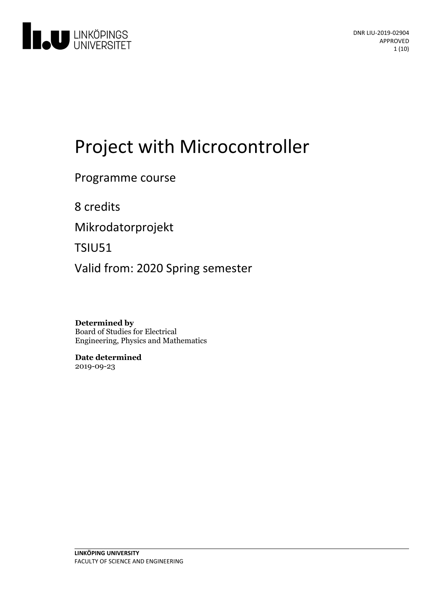

# Project with Microcontroller

Programme course

8 credits

Mikrodatorprojekt

TSIU51

Valid from: 2020 Spring semester

**Determined by** Board of Studies for Electrical Engineering, Physics and Mathematics

**Date determined** 2019-09-23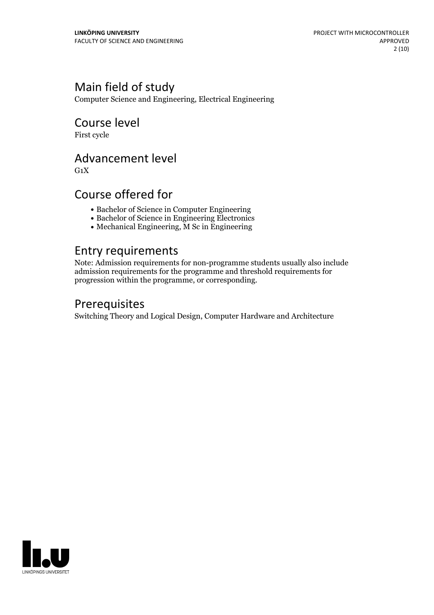### Main field of study

Computer Science and Engineering, Electrical Engineering

## Course level

First cycle

### Advancement level

 $G_1X$ 

### Course offered for

- Bachelor of Science in Computer Engineering
- Bachelor of Science in Engineering Electronics
- Mechanical Engineering, M Sc in Engineering

### Entry requirements

Note: Admission requirements for non-programme students usually also include admission requirements for the programme and threshold requirements for progression within the programme, or corresponding.

### Prerequisites

Switching Theory and Logical Design, Computer Hardware and Architecture

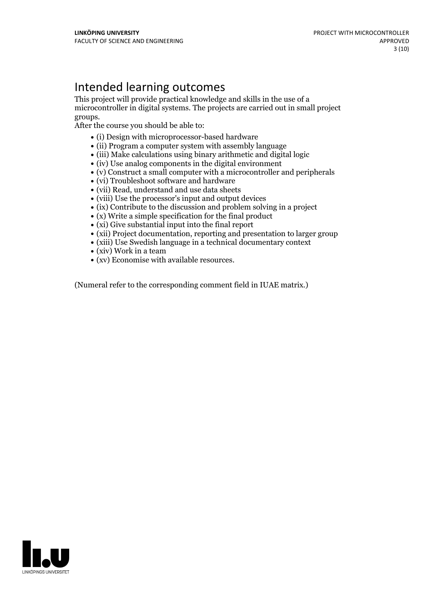### Intended learning outcomes

This project will provide practical knowledge and skills in the use of a microcontroller in digital systems. The projects are carried out in small project

After the course you should be able to:

- (i) Design with microprocessor-based hardware
- (ii) Program a computer system with assembly language
- (iii) Make calculations using binary arithmetic and digital logic
- $\bullet$  (iv) Use analog components in the digital environment
- (v) Construct a small computer with a microcontroller and peripherals
- (vi) Troubleshoot software and hardware
- (vii) Read, understand and use data sheets
- (viii) Use the processor's input and output devices
- $\bullet$  (ix) Contribute to the discussion and problem solving in a project
- $\bullet$  (x) Write a simple specification for the final product
- (xi) Give substantial input into the final report
- (xii) Project documentation, reporting and presentation to larger group
- (xiii) Use Swedish language in a technical documentary context
- (xiv) Work in a team
- (xv) Economise with available resources.

(Numeral refer to the corresponding comment field in IUAE matrix.)

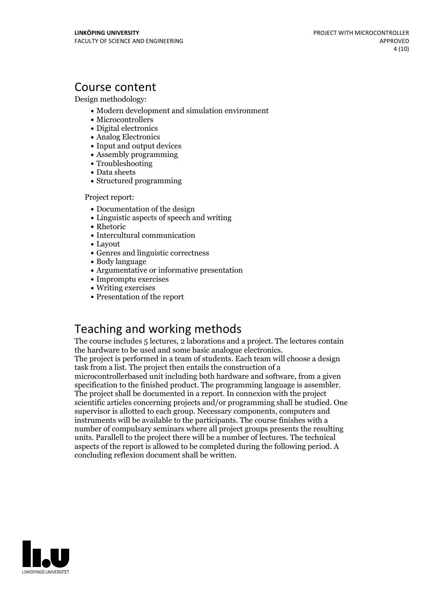### Course content

Design methodology:

- Modern development and simulation environment
- Microcontrollers
- Digital electronics
- Analog Electronics
- Input and output devices
- Assembly programming
- Troubleshooting
- Data sheets
- Structured programming

Project report:

- Documentation of the design
- Linguistic aspects of speech and writing
- Rhetoric
- Intercultural communication
- Layout
- Genres and linguistic correctness
- Body language
- Argumentative or informative presentation
- Impromptu exercises
- Writing exercises
- Presentation of the report

### Teaching and working methods

The course includes 5 lectures, 2 laborations and a project. The lectures contain the hardware to be used and some basic analogue electronics. The project is performed in <sup>a</sup> team of students. Each team will choose <sup>a</sup> design

task from a list. The project then entails the construction of a

microcontrollerbased unit including both hardware and software, from a given specification to the finished product. The programming language is assembler. The project shall be documented in <sup>a</sup> report. In connexion with the project scientific articles concerning projects and/or programming shall be studied. One supervisor is allotted to each group. Necessary components, computers and instruments will be available to the participants. The course finishes with a number of compulsary seminars where all project groups presents the resulting units. Parallell to the project there will be a number of lectures. The technical aspects of the report is allowed to be completed during the following period. A concluding reflexion document shall be written.

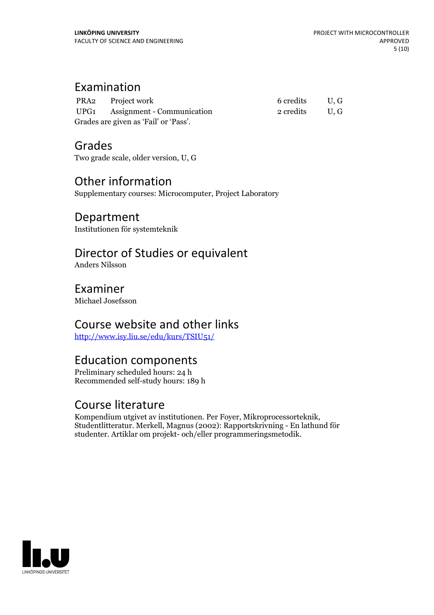### Examination

|                                       | PRA2 Project work               | 6 credits U.G |     |
|---------------------------------------|---------------------------------|---------------|-----|
|                                       | UPG1 Assignment - Communication | 2 credits     | U.G |
| Grades are given as 'Fail' or 'Pass'. |                                 |               |     |

Grades Two grade scale, older version, U, G

### Other information

Supplementary courses: Microcomputer, Project Laboratory

### Department

Institutionen för systemteknik

### Director of Studies or equivalent

Anders Nilsson

Examiner Michael Josefsson

### Course website and other links

<http://www.isy.liu.se/edu/kurs/TSIU51/>

### Education components

Preliminary scheduled hours: 24 h Recommended self-study hours: 189 h

Course literature<br>Kompendium utgivet av institutionen. Per Foyer, Mikroprocessorteknik, Studentlitteratur. Merkell, Magnus (2002): Rapportskrivning - En lathund för studenter. Artiklar om projekt- och/eller programmeringsmetodik.

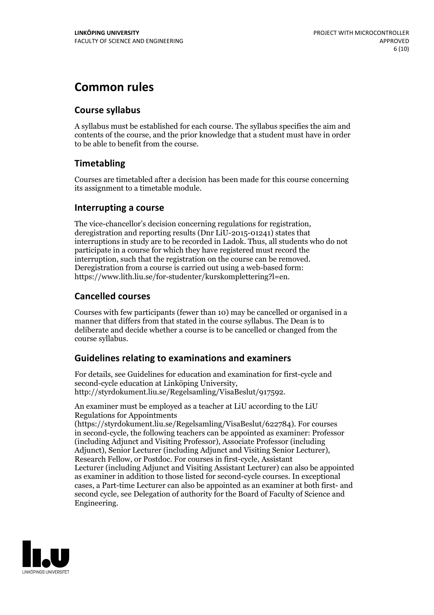### **Common rules**

#### **Course syllabus**

A syllabus must be established for each course. The syllabus specifies the aim and contents of the course, and the prior knowledge that a student must have in order to be able to benefit from the course.

#### **Timetabling**

Courses are timetabled after a decision has been made for this course concerning its assignment to a timetable module.

#### **Interrupting a course**

The vice-chancellor's decision concerning regulations for registration, deregistration and reporting results (Dnr LiU-2015-01241) states that interruptions in study are to be recorded in Ladok. Thus, all students who do not participate in a course for which they have registered must record the interruption, such that the registration on the course can be removed. Deregistration from <sup>a</sup> course is carried outusing <sup>a</sup> web-based form: https://www.lith.liu.se/for-studenter/kurskomplettering?l=en.

#### **Cancelled courses**

Courses with few participants (fewer than 10) may be cancelled or organised in a manner that differs from that stated in the course syllabus. The Dean is to deliberate and decide whether a course is to be cancelled or changed from the course syllabus.

#### **Guidelines relatingto examinations and examiners**

For details, see Guidelines for education and examination for first-cycle and second-cycle education at Linköping University, http://styrdokument.liu.se/Regelsamling/VisaBeslut/917592.

An examiner must be employed as a teacher at LiU according to the LiU Regulations for Appointments

(https://styrdokument.liu.se/Regelsamling/VisaBeslut/622784). For courses in second-cycle, the following teachers can be appointed as examiner: Professor (including Adjunct and Visiting Professor), Associate Professor (including Adjunct), Senior Lecturer (including Adjunct and Visiting Senior Lecturer), Research Fellow, or Postdoc. For courses in first-cycle, Assistant Lecturer (including Adjunct and Visiting Assistant Lecturer) can also be appointed as examiner in addition to those listed for second-cycle courses. In exceptional cases, a Part-time Lecturer can also be appointed as an examiner at both first- and second cycle, see Delegation of authority for the Board of Faculty of Science and Engineering.

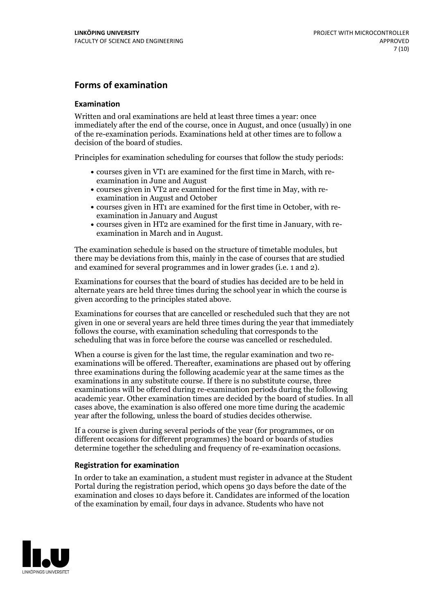#### **Forms of examination**

#### **Examination**

Written and oral examinations are held at least three times a year: once immediately after the end of the course, once in August, and once (usually) in one of the re-examination periods. Examinations held at other times are to follow a decision of the board of studies.

Principles for examination scheduling for courses that follow the study periods:

- courses given in VT1 are examined for the first time in March, with re-examination in June and August
- courses given in VT2 are examined for the first time in May, with re-examination in August and October
- courses given in HT1 are examined for the first time in October, with re-examination in January and August
- courses given in HT2 are examined for the first time in January, with re-examination in March and in August.

The examination schedule is based on the structure of timetable modules, but there may be deviations from this, mainly in the case of courses that are studied and examined for several programmes and in lower grades (i.e. 1 and 2).

Examinations for courses that the board of studies has decided are to be held in alternate years are held three times during the school year in which the course is given according to the principles stated above.

Examinations for courses that are cancelled orrescheduled such that they are not given in one or several years are held three times during the year that immediately follows the course, with examination scheduling that corresponds to the scheduling that was in force before the course was cancelled or rescheduled.

When a course is given for the last time, the regular examination and two re-<br>examinations will be offered. Thereafter, examinations are phased out by offering three examinations during the following academic year at the same times as the examinations in any substitute course. If there is no substitute course, three examinations will be offered during re-examination periods during the following academic year. Other examination times are decided by the board of studies. In all cases above, the examination is also offered one more time during the academic year after the following, unless the board of studies decides otherwise.

If a course is given during several periods of the year (for programmes, or on different occasions for different programmes) the board or boards of studies determine together the scheduling and frequency of re-examination occasions.

#### **Registration for examination**

In order to take an examination, a student must register in advance at the Student Portal during the registration period, which opens 30 days before the date of the examination and closes 10 days before it. Candidates are informed of the location of the examination by email, four days in advance. Students who have not

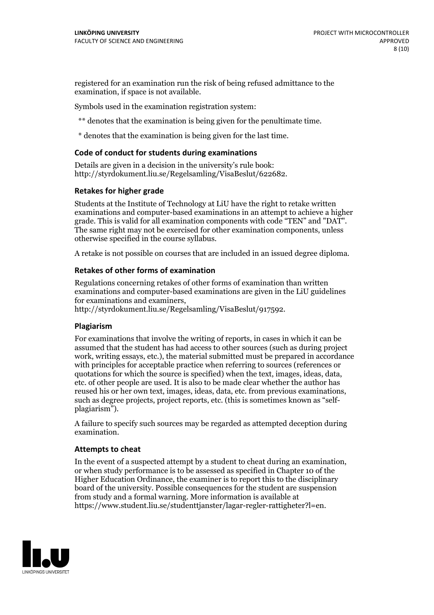registered for an examination run the risk of being refused admittance to the examination, if space is not available.

Symbols used in the examination registration system:

\*\* denotes that the examination is being given for the penultimate time.

\* denotes that the examination is being given for the last time.

#### **Code of conduct for students during examinations**

Details are given in a decision in the university's rule book: http://styrdokument.liu.se/Regelsamling/VisaBeslut/622682.

#### **Retakes for higher grade**

Students at the Institute of Technology at LiU have the right to retake written examinations and computer-based examinations in an attempt to achieve a higher grade. This is valid for all examination components with code "TEN" and "DAT". The same right may not be exercised for other examination components, unless otherwise specified in the course syllabus.

A retake is not possible on courses that are included in an issued degree diploma.

#### **Retakes of other forms of examination**

Regulations concerning retakes of other forms of examination than written examinations and computer-based examinations are given in the LiU guidelines

http://styrdokument.liu.se/Regelsamling/VisaBeslut/917592.

#### **Plagiarism**

For examinations that involve the writing of reports, in cases in which it can be assumed that the student has had access to other sources (such as during project work, writing essays, etc.), the material submitted must be prepared in accordance with principles for acceptable practice when referring to sources (references or quotations for which the source is specified) when the text, images, ideas, data,  $\vec{e}$  etc. of other people are used. It is also to be made clear whether the author has reused his or her own text, images, ideas, data, etc. from previous examinations, such as degree projects, project reports, etc. (this is sometimes known as "self- plagiarism").

A failure to specify such sources may be regarded as attempted deception during examination.

#### **Attempts to cheat**

In the event of <sup>a</sup> suspected attempt by <sup>a</sup> student to cheat during an examination, or when study performance is to be assessed as specified in Chapter <sup>10</sup> of the Higher Education Ordinance, the examiner is to report this to the disciplinary board of the university. Possible consequences for the student are suspension from study and a formal warning. More information is available at https://www.student.liu.se/studenttjanster/lagar-regler-rattigheter?l=en.

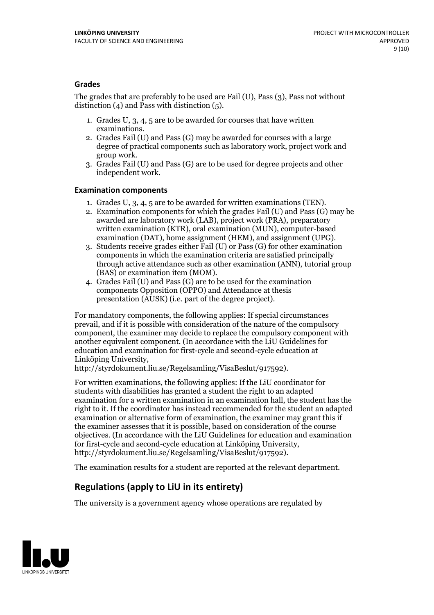#### **Grades**

The grades that are preferably to be used are Fail (U), Pass (3), Pass not without distinction  $(4)$  and Pass with distinction  $(5)$ .

- 1. Grades U, 3, 4, 5 are to be awarded for courses that have written
- examinations. 2. Grades Fail (U) and Pass (G) may be awarded for courses with <sup>a</sup> large degree of practical components such as laboratory work, project work and group work. 3. Grades Fail (U) and Pass (G) are to be used for degree projects and other
- independent work.

#### **Examination components**

- 
- 1. Grades U, 3, 4, <sup>5</sup> are to be awarded for written examinations (TEN). 2. Examination components for which the grades Fail (U) and Pass (G) may be awarded are laboratory work (LAB), project work (PRA), preparatory written examination (KTR), oral examination (MUN), computer-based
- examination (DAT), home assignment (HEM), and assignment (UPG). 3. Students receive grades either Fail (U) or Pass (G) for other examination components in which the examination criteria are satisfied principally through active attendance such as other examination (ANN), tutorial group
- (BAS) or examination item (MOM). 4. Grades Fail (U) and Pass (G) are to be used for the examination components Opposition (OPPO) and Attendance at thesis presentation (AUSK) (i.e. part of the degree project).

For mandatory components, the following applies: If special circumstances prevail, and if it is possible with consideration of the nature of the compulsory component, the examiner may decide to replace the compulsory component with another equivalent component. (In accordance with the LiU Guidelines for education and examination for first-cycle and second-cycle education at Linköping University, http://styrdokument.liu.se/Regelsamling/VisaBeslut/917592).

For written examinations, the following applies: If the LiU coordinator for students with disabilities has granted a student the right to an adapted examination for a written examination in an examination hall, the student has the right to it. If the coordinator has instead recommended for the student an adapted examination or alternative form of examination, the examiner may grant this if the examiner assesses that it is possible, based on consideration of the course objectives. (In accordance with the LiU Guidelines for education and examination for first-cycle and second-cycle education at Linköping University, http://styrdokument.liu.se/Regelsamling/VisaBeslut/917592).

The examination results for a student are reported at the relevant department.

### **Regulations (applyto LiU in its entirety)**

The university is a government agency whose operations are regulated by